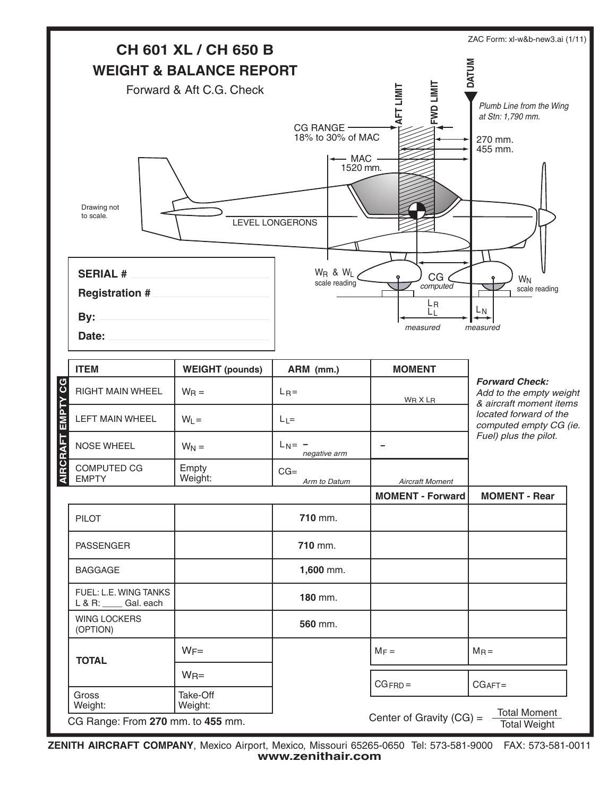

**ZENITH AIRCRAFT COMPANY**, Mexico Airport, Mexico, Missouri 65265-0650 Tel: 573-581-9000 FAX: 573-581-0011 **www.zenithair.com**